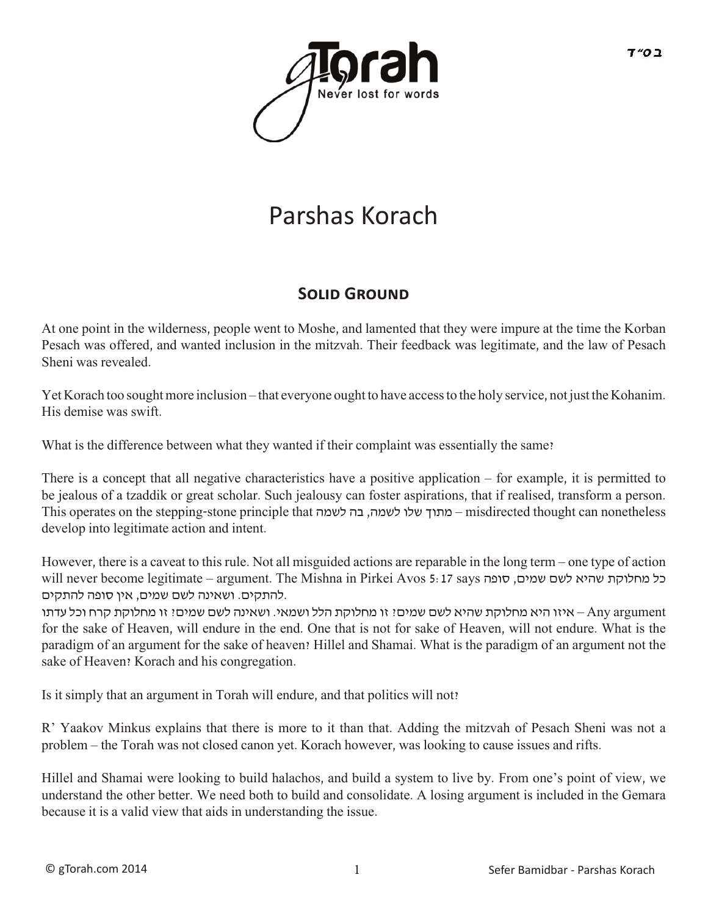

# Parshas Korach

### **SOLID GROUND**

At one point in the wilderness, people went to Moshe, and lamented that they were impure at the time the Korban Pesach was offered, and wanted inclusion in the mitzvah. Their feedback was legitimate, and the law of Pesach Sheni was revealed.

Yet Korach too sought more inclusion – that everyone ought to have access to the holy service, not just the Kohanim. His demise was swift.

What is the difference between what they wanted if their complaint was essentially the same?

There is a concept that all negative characteristics have a positive application – for example, it is permitted to be jealous of a tzaddik or great scholar. Such jealousy can foster aspirations, that if realised, transform a person. This operates on the stepping-stone principle that לשמה בה ,לשמה שלו מתוך – misdirected thought can nonetheless develop into legitimate action and intent.

However, there is a caveat to this rule. Not all misguided actions are reparable in the long term – one type of action will never become legitimate – argument. The Mishna in Pirkei Avos 5: 17 says סל מחלוקת שהיא לשם שמים, סופה .להתקים. ושאינה לשם שמים, אין סופה להתקים

 argument Any – איזו היא מחלוקת שהיא לשם שמים? זו מחלוקת הלל ושמאי. ושאינה לשם שמים? זו מחלוקת קרח וכל עדתו for the sake of Heaven, will endure in the end. One that is not for sake of Heaven, will not endure. What is the paradigm of an argument for the sake of heaven? Hillel and Shamai. What is the paradigm of an argument not the sake of Heaven? Korach and his congregation.

Is it simply that an argument in Torah will endure, and that politics will not?

R' Yaakov Minkus explains that there is more to it than that. Adding the mitzvah of Pesach Sheni was not a problem – the Torah was not closed canon yet. Korach however, was looking to cause issues and rifts.

Hillel and Shamai were looking to build halachos, and build a system to live by. From one's point of view, we understand the other better. We need both to build and consolidate. A losing argument is included in the Gemara because it is a valid view that aids in understanding the issue.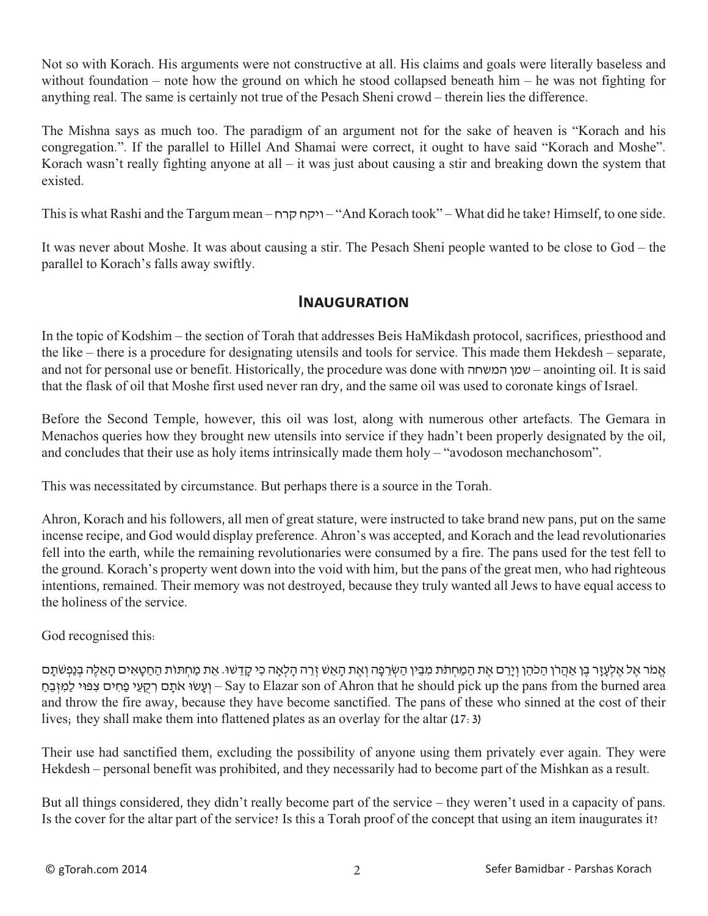Not so with Korach. His arguments were not constructive at all. His claims and goals were literally baseless and without foundation – note how the ground on which he stood collapsed beneath him – he was not fighting for anything real. The same is certainly not true of the Pesach Sheni crowd – therein lies the difference.

The Mishna says as much too. The paradigm of an argument not for the sake of heaven is "Korach and his congregation.". If the parallel to Hillel And Shamai were correct, it ought to have said "Korach and Moshe". Korach wasn't really fighting anyone at all – it was just about causing a stir and breaking down the system that existed.

This is what Rashi and the Targum mean – קרח ויקח" – And Korach took" – What did he take? Himself, to one side.

It was never about Moshe. It was about causing a stir. The Pesach Sheni people wanted to be close to God – the parallel to Korach's falls away swiftly.

#### **Inauguration**

In the topic of Kodshim – the section of Torah that addresses Beis HaMikdash protocol, sacrifices, priesthood and the like – there is a procedure for designating utensils and tools for service. This made them Hekdesh – separate, and not for personal use or benefit. Historically, the procedure was done with המשחה שמן – anointing oil. It is said that the flask of oil that Moshe first used never ran dry, and the same oil was used to coronate kings of Israel.

Before the Second Temple, however, this oil was lost, along with numerous other artefacts. The Gemara in Menachos queries how they brought new utensils into service if they hadn't been properly designated by the oil, and concludes that their use as holy items intrinsically made them holy – "avodoson mechanchosom".

This was necessitated by circumstance. But perhaps there is a source in the Torah.

Ahron, Korach and his followers, all men of great stature, were instructed to take brand new pans, put on the same incense recipe, and God would display preference. Ahron's was accepted, and Korach and the lead revolutionaries fell into the earth, while the remaining revolutionaries were consumed by a fire. The pans used for the test fell to the ground. Korach's property went down into the void with him, but the pans of the great men, who had righteous intentions, remained. Their memory was not destroyed, because they truly wanted all Jews to have equal access to the holiness of the service.

God recognised this:

אֱמֹר אֱל אֱלְעָזֶר בֵן אַהֲרֹן הַכֹּהֵן וְיָרֵם אֶת הַמַּחְתֹּת מִבִין הַשְׂרֵפָה וְאֵת הָאֵשׁ זְרֵה הָלִאָה כִי קָדֵשׁוּ. אֵת מַחְתוֹת הַחַטָּאִים הָאֵלֶה בִּנְפְשֹׁתָם פְּחִים צִפּוּי לַמְזְבֵּח (הַעֲי פַחִים צִפּוּי לַמְזָבֵּח Say to Elazar son of Ahron that he should pick up the pans from the burned area and throw the fire away, because they have become sanctified. The pans of these who sinned at the cost of their lives; they shall make them into flattened plates as an overlay for the altar (17:3)

Their use had sanctified them, excluding the possibility of anyone using them privately ever again. They were Hekdesh – personal benefit was prohibited, and they necessarily had to become part of the Mishkan as a result.

But all things considered, they didn't really become part of the service – they weren't used in a capacity of pans. Is the cover for the altar part of the service? Is this a Torah proof of the concept that using an item inaugurates it?